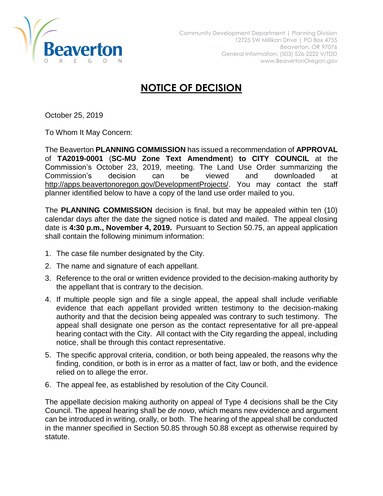

## **NOTICE OF DECISION**

October 25, 2019

To Whom It May Concern:

The Beaverton **PLANNING COMMISSION** has issued a recommendation of **APPROVAL** of **TA2019-0001** (**SC-MU Zone Text Amendment**) **to CITY COUNCIL** at the Commission's October 23, 2019, meeting. The Land Use Order summarizing the Commission's decision can be viewed and downloaded at [http://apps.beavertonoregon.gov/DevelopmentProjects/.](http://apps.beavertonoregon.gov/DevelopmentProjects/) You may contact the staff planner identified below to have a copy of the land use order mailed to you.

The **PLANNING COMMISSION** decision is final, but may be appealed within ten (10) calendar days after the date the signed notice is dated and mailed. The appeal closing date is **4:30 p.m., November 4, 2019.** Pursuant to Section 50.75, an appeal application shall contain the following minimum information:

- 1. The case file number designated by the City.
- 2. The name and signature of each appellant.
- 3. Reference to the oral or written evidence provided to the decision-making authority by the appellant that is contrary to the decision.
- 4. If multiple people sign and file a single appeal, the appeal shall include verifiable evidence that each appellant provided written testimony to the decision-making authority and that the decision being appealed was contrary to such testimony. The appeal shall designate one person as the contact representative for all pre-appeal hearing contact with the City. All contact with the City regarding the appeal, including notice, shall be through this contact representative.
- 5. The specific approval criteria, condition, or both being appealed, the reasons why the finding, condition, or both is in error as a matter of fact, law or both, and the evidence relied on to allege the error.
- 6. The appeal fee, as established by resolution of the City Council.

The appellate decision making authority on appeal of Type 4 decisions shall be the City Council. The appeal hearing shall be *de novo*, which means new evidence and argument can be introduced in writing, orally, or both. The hearing of the appeal shall be conducted in the manner specified in Section 50.85 through 50.88 except as otherwise required by statute.